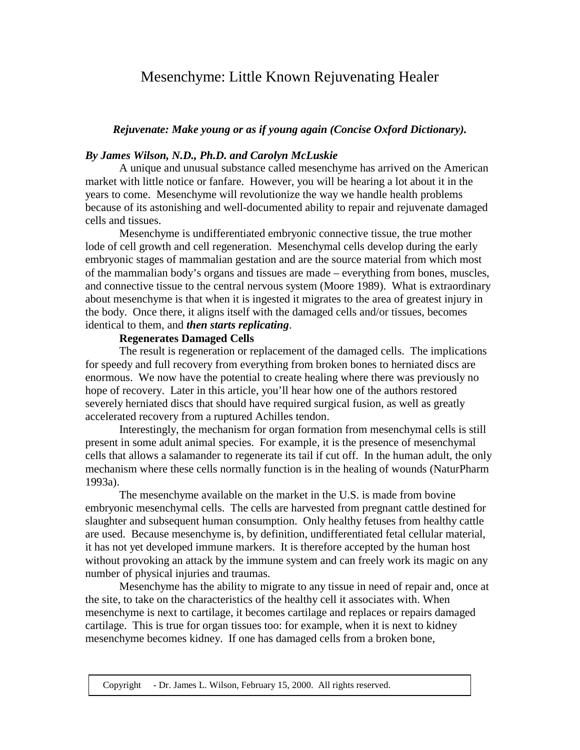# Mesenchyme: Little Known Rejuvenating Healer

# *Rejuvenate: Make young or as if young again (Concise Oxford Dictionary).*

## *By James Wilson, N.D., Ph.D. and Carolyn McLuskie*

A unique and unusual substance called mesenchyme has arrived on the American market with little notice or fanfare. However, you will be hearing a lot about it in the years to come. Mesenchyme will revolutionize the way we handle health problems because of its astonishing and well-documented ability to repair and rejuvenate damaged cells and tissues.

Mesenchyme is undifferentiated embryonic connective tissue, the true mother lode of cell growth and cell regeneration. Mesenchymal cells develop during the early embryonic stages of mammalian gestation and are the source material from which most of the mammalian body's organs and tissues are made – everything from bones, muscles, and connective tissue to the central nervous system (Moore 1989). What is extraordinary about mesenchyme is that when it is ingested it migrates to the area of greatest injury in the body. Once there, it aligns itself with the damaged cells and/or tissues, becomes identical to them, and *then starts replicating*.

## **Regenerates Damaged Cells**

The result is regeneration or replacement of the damaged cells. The implications for speedy and full recovery from everything from broken bones to herniated discs are enormous. We now have the potential to create healing where there was previously no hope of recovery. Later in this article, you'll hear how one of the authors restored severely herniated discs that should have required surgical fusion, as well as greatly accelerated recovery from a ruptured Achilles tendon.

Interestingly, the mechanism for organ formation from mesenchymal cells is still present in some adult animal species. For example, it is the presence of mesenchymal cells that allows a salamander to regenerate its tail if cut off. In the human adult, the only mechanism where these cells normally function is in the healing of wounds (NaturPharm 1993a).

The mesenchyme available on the market in the U.S. is made from bovine embryonic mesenchymal cells. The cells are harvested from pregnant cattle destined for slaughter and subsequent human consumption. Only healthy fetuses from healthy cattle are used. Because mesenchyme is, by definition, undifferentiated fetal cellular material, it has not yet developed immune markers. It is therefore accepted by the human host without provoking an attack by the immune system and can freely work its magic on any number of physical injuries and traumas.

Mesenchyme has the ability to migrate to any tissue in need of repair and, once at the site, to take on the characteristics of the healthy cell it associates with. When mesenchyme is next to cartilage, it becomes cartilage and replaces or repairs damaged cartilage. This is true for organ tissues too: for example, when it is next to kidney mesenchyme becomes kidney. If one has damaged cells from a broken bone,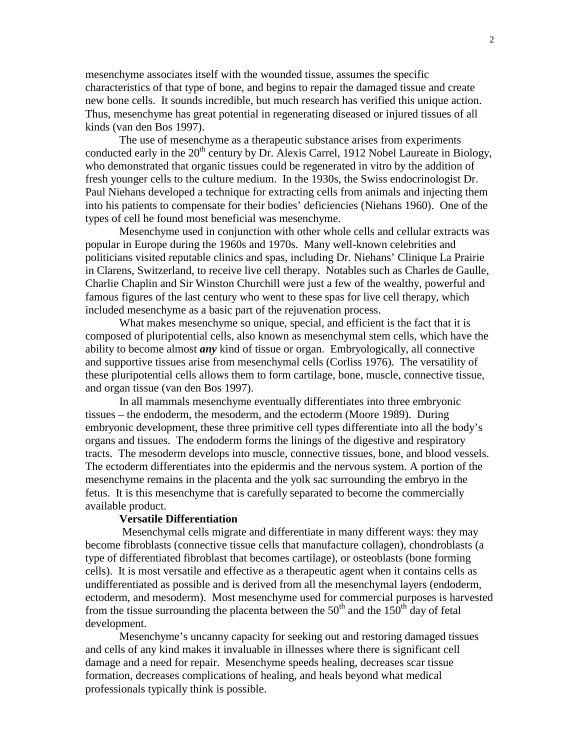mesenchyme associates itself with the wounded tissue, assumes the specific characteristics of that type of bone, and begins to repair the damaged tissue and create new bone cells. It sounds incredible, but much research has verified this unique action. Thus, mesenchyme has great potential in regenerating diseased or injured tissues of all kinds (van den Bos 1997).

The use of mesenchyme as a therapeutic substance arises from experiments conducted early in the  $20<sup>th</sup>$  century by Dr. Alexis Carrel, 1912 Nobel Laureate in Biology, who demonstrated that organic tissues could be regenerated in vitro by the addition of fresh younger cells to the culture medium. In the 1930s, the Swiss endocrinologist Dr. Paul Niehans developed a technique for extracting cells from animals and injecting them into his patients to compensate for their bodies' deficiencies (Niehans 1960). One of the types of cell he found most beneficial was mesenchyme.

Mesenchyme used in conjunction with other whole cells and cellular extracts was popular in Europe during the 1960s and 1970s. Many well-known celebrities and politicians visited reputable clinics and spas, including Dr. Niehans' Clinique La Prairie in Clarens, Switzerland, to receive live cell therapy. Notables such as Charles de Gaulle, Charlie Chaplin and Sir Winston Churchill were just a few of the wealthy, powerful and famous figures of the last century who went to these spas for live cell therapy, which included mesenchyme as a basic part of the rejuvenation process.

What makes mesenchyme so unique, special, and efficient is the fact that it is composed of pluripotential cells, also known as mesenchymal stem cells, which have the ability to become almost *any* kind of tissue or organ. Embryologically, all connective and supportive tissues arise from mesenchymal cells (Corliss 1976). The versatility of these pluripotential cells allows them to form cartilage, bone, muscle, connective tissue, and organ tissue (van den Bos 1997).

In all mammals mesenchyme eventually differentiates into three embryonic tissues – the endoderm, the mesoderm, and the ectoderm (Moore 1989). During embryonic development, these three primitive cell types differentiate into all the body's organs and tissues. The endoderm forms the linings of the digestive and respiratory tracts. The mesoderm develops into muscle, connective tissues, bone, and blood vessels. The ectoderm differentiates into the epidermis and the nervous system. A portion of the mesenchyme remains in the placenta and the yolk sac surrounding the embryo in the fetus. It is this mesenchyme that is carefully separated to become the commercially available product.

### **Versatile Differentiation**

 Mesenchymal cells migrate and differentiate in many different ways: they may become fibroblasts (connective tissue cells that manufacture collagen), chondroblasts (a type of differentiated fibroblast that becomes cartilage), or osteoblasts (bone forming cells). It is most versatile and effective as a therapeutic agent when it contains cells as undifferentiated as possible and is derived from all the mesenchymal layers (endoderm, ectoderm, and mesoderm). Most mesenchyme used for commercial purposes is harvested from the tissue surrounding the placenta between the  $50<sup>th</sup>$  and the  $150<sup>th</sup>$  day of fetal development.

Mesenchyme's uncanny capacity for seeking out and restoring damaged tissues and cells of any kind makes it invaluable in illnesses where there is significant cell damage and a need for repair. Mesenchyme speeds healing, decreases scar tissue formation, decreases complications of healing, and heals beyond what medical professionals typically think is possible.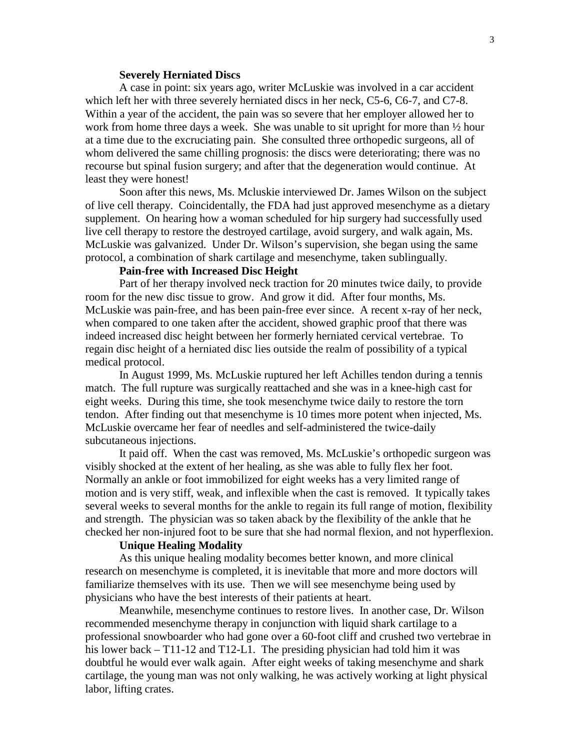#### **Severely Herniated Discs**

A case in point: six years ago, writer McLuskie was involved in a car accident which left her with three severely herniated discs in her neck, C5-6, C6-7, and C7-8. Within a year of the accident, the pain was so severe that her employer allowed her to work from home three days a week. She was unable to sit upright for more than ½ hour at a time due to the excruciating pain. She consulted three orthopedic surgeons, all of whom delivered the same chilling prognosis: the discs were deteriorating; there was no recourse but spinal fusion surgery; and after that the degeneration would continue. At least they were honest!

Soon after this news, Ms. Mcluskie interviewed Dr. James Wilson on the subject of live cell therapy. Coincidentally, the FDA had just approved mesenchyme as a dietary supplement. On hearing how a woman scheduled for hip surgery had successfully used live cell therapy to restore the destroyed cartilage, avoid surgery, and walk again, Ms. McLuskie was galvanized. Under Dr. Wilson's supervision, she began using the same protocol, a combination of shark cartilage and mesenchyme, taken sublingually.

# **Pain-free with Increased Disc Height**

Part of her therapy involved neck traction for 20 minutes twice daily, to provide room for the new disc tissue to grow. And grow it did. After four months, Ms. McLuskie was pain-free, and has been pain-free ever since. A recent x-ray of her neck, when compared to one taken after the accident, showed graphic proof that there was indeed increased disc height between her formerly herniated cervical vertebrae. To regain disc height of a herniated disc lies outside the realm of possibility of a typical medical protocol.

In August 1999, Ms. McLuskie ruptured her left Achilles tendon during a tennis match. The full rupture was surgically reattached and she was in a knee-high cast for eight weeks. During this time, she took mesenchyme twice daily to restore the torn tendon. After finding out that mesenchyme is 10 times more potent when injected, Ms. McLuskie overcame her fear of needles and self-administered the twice-daily subcutaneous injections.

It paid off. When the cast was removed, Ms. McLuskie's orthopedic surgeon was visibly shocked at the extent of her healing, as she was able to fully flex her foot. Normally an ankle or foot immobilized for eight weeks has a very limited range of motion and is very stiff, weak, and inflexible when the cast is removed. It typically takes several weeks to several months for the ankle to regain its full range of motion, flexibility and strength. The physician was so taken aback by the flexibility of the ankle that he checked her non-injured foot to be sure that she had normal flexion, and not hyperflexion.

#### **Unique Healing Modality**

As this unique healing modality becomes better known, and more clinical research on mesenchyme is completed, it is inevitable that more and more doctors will familiarize themselves with its use. Then we will see mesenchyme being used by physicians who have the best interests of their patients at heart.

Meanwhile, mesenchyme continues to restore lives. In another case, Dr. Wilson recommended mesenchyme therapy in conjunction with liquid shark cartilage to a professional snowboarder who had gone over a 60-foot cliff and crushed two vertebrae in his lower back – T11-12 and T12-L1. The presiding physician had told him it was doubtful he would ever walk again. After eight weeks of taking mesenchyme and shark cartilage, the young man was not only walking, he was actively working at light physical labor, lifting crates.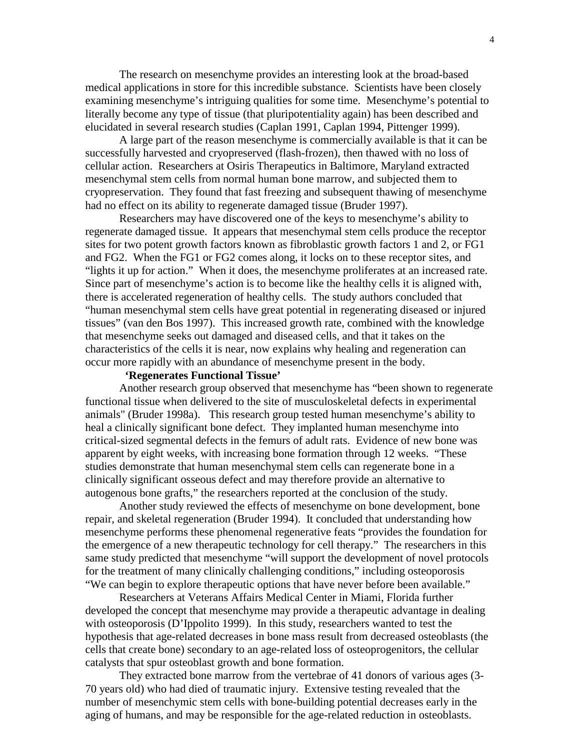The research on mesenchyme provides an interesting look at the broad-based medical applications in store for this incredible substance. Scientists have been closely examining mesenchyme's intriguing qualities for some time. Mesenchyme's potential to literally become any type of tissue (that pluripotentiality again) has been described and elucidated in several research studies (Caplan 1991, Caplan 1994, Pittenger 1999).

A large part of the reason mesenchyme is commercially available is that it can be successfully harvested and cryopreserved (flash-frozen), then thawed with no loss of cellular action. Researchers at Osiris Therapeutics in Baltimore, Maryland extracted mesenchymal stem cells from normal human bone marrow, and subjected them to cryopreservation. They found that fast freezing and subsequent thawing of mesenchyme had no effect on its ability to regenerate damaged tissue (Bruder 1997).

Researchers may have discovered one of the keys to mesenchyme's ability to regenerate damaged tissue. It appears that mesenchymal stem cells produce the receptor sites for two potent growth factors known as fibroblastic growth factors 1 and 2, or FG1 and FG2. When the FG1 or FG2 comes along, it locks on to these receptor sites, and "lights it up for action." When it does, the mesenchyme proliferates at an increased rate. Since part of mesenchyme's action is to become like the healthy cells it is aligned with, there is accelerated regeneration of healthy cells. The study authors concluded that "human mesenchymal stem cells have great potential in regenerating diseased or injured tissues" (van den Bos 1997). This increased growth rate, combined with the knowledge that mesenchyme seeks out damaged and diseased cells, and that it takes on the characteristics of the cells it is near, now explains why healing and regeneration can occur more rapidly with an abundance of mesenchyme present in the body.

# **'Regenerates Functional Tissue'**

Another research group observed that mesenchyme has "been shown to regenerate functional tissue when delivered to the site of musculoskeletal defects in experimental animals" (Bruder 1998a). This research group tested human mesenchyme's ability to heal a clinically significant bone defect. They implanted human mesenchyme into critical-sized segmental defects in the femurs of adult rats. Evidence of new bone was apparent by eight weeks, with increasing bone formation through 12 weeks. "These studies demonstrate that human mesenchymal stem cells can regenerate bone in a clinically significant osseous defect and may therefore provide an alternative to autogenous bone grafts," the researchers reported at the conclusion of the study.

Another study reviewed the effects of mesenchyme on bone development, bone repair, and skeletal regeneration (Bruder 1994). It concluded that understanding how mesenchyme performs these phenomenal regenerative feats "provides the foundation for the emergence of a new therapeutic technology for cell therapy." The researchers in this same study predicted that mesenchyme "will support the development of novel protocols for the treatment of many clinically challenging conditions," including osteoporosis "We can begin to explore therapeutic options that have never before been available."

Researchers at Veterans Affairs Medical Center in Miami, Florida further developed the concept that mesenchyme may provide a therapeutic advantage in dealing with osteoporosis (D'Ippolito 1999). In this study, researchers wanted to test the hypothesis that age-related decreases in bone mass result from decreased osteoblasts (the cells that create bone) secondary to an age-related loss of osteoprogenitors, the cellular catalysts that spur osteoblast growth and bone formation.

They extracted bone marrow from the vertebrae of 41 donors of various ages (3- 70 years old) who had died of traumatic injury. Extensive testing revealed that the number of mesenchymic stem cells with bone-building potential decreases early in the aging of humans, and may be responsible for the age-related reduction in osteoblasts.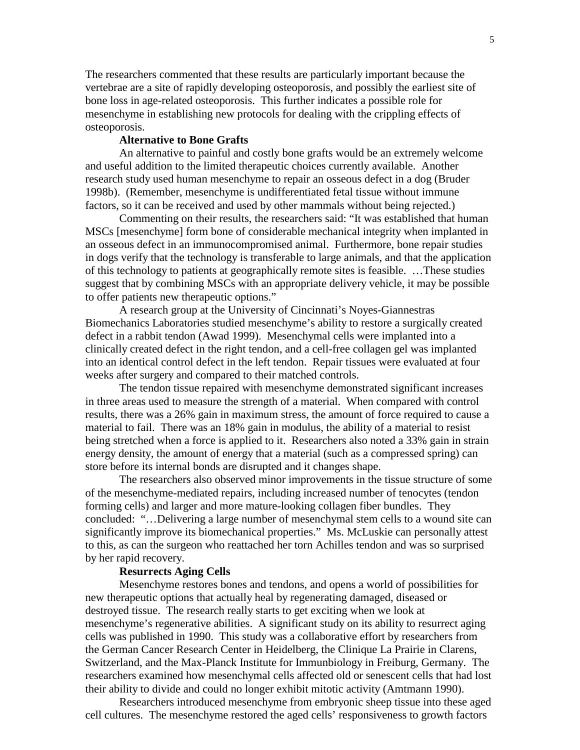The researchers commented that these results are particularly important because the vertebrae are a site of rapidly developing osteoporosis, and possibly the earliest site of bone loss in age-related osteoporosis. This further indicates a possible role for mesenchyme in establishing new protocols for dealing with the crippling effects of osteoporosis.

## **Alternative to Bone Grafts**

An alternative to painful and costly bone grafts would be an extremely welcome and useful addition to the limited therapeutic choices currently available. Another research study used human mesenchyme to repair an osseous defect in a dog (Bruder 1998b). (Remember, mesenchyme is undifferentiated fetal tissue without immune factors, so it can be received and used by other mammals without being rejected.)

Commenting on their results, the researchers said: "It was established that human MSCs [mesenchyme] form bone of considerable mechanical integrity when implanted in an osseous defect in an immunocompromised animal. Furthermore, bone repair studies in dogs verify that the technology is transferable to large animals, and that the application of this technology to patients at geographically remote sites is feasible. …These studies suggest that by combining MSCs with an appropriate delivery vehicle, it may be possible to offer patients new therapeutic options."

A research group at the University of Cincinnati's Noyes-Giannestras Biomechanics Laboratories studied mesenchyme's ability to restore a surgically created defect in a rabbit tendon (Awad 1999). Mesenchymal cells were implanted into a clinically created defect in the right tendon, and a cell-free collagen gel was implanted into an identical control defect in the left tendon. Repair tissues were evaluated at four weeks after surgery and compared to their matched controls.

The tendon tissue repaired with mesenchyme demonstrated significant increases in three areas used to measure the strength of a material. When compared with control results, there was a 26% gain in maximum stress, the amount of force required to cause a material to fail. There was an 18% gain in modulus, the ability of a material to resist being stretched when a force is applied to it. Researchers also noted a 33% gain in strain energy density, the amount of energy that a material (such as a compressed spring) can store before its internal bonds are disrupted and it changes shape.

The researchers also observed minor improvements in the tissue structure of some of the mesenchyme-mediated repairs, including increased number of tenocytes (tendon forming cells) and larger and more mature-looking collagen fiber bundles. They concluded: "…Delivering a large number of mesenchymal stem cells to a wound site can significantly improve its biomechanical properties." Ms. McLuskie can personally attest to this, as can the surgeon who reattached her torn Achilles tendon and was so surprised by her rapid recovery.

#### **Resurrects Aging Cells**

Mesenchyme restores bones and tendons, and opens a world of possibilities for new therapeutic options that actually heal by regenerating damaged, diseased or destroyed tissue. The research really starts to get exciting when we look at mesenchyme's regenerative abilities. A significant study on its ability to resurrect aging cells was published in 1990. This study was a collaborative effort by researchers from the German Cancer Research Center in Heidelberg, the Clinique La Prairie in Clarens, Switzerland, and the Max-Planck Institute for Immunbiology in Freiburg, Germany. The researchers examined how mesenchymal cells affected old or senescent cells that had lost their ability to divide and could no longer exhibit mitotic activity (Amtmann 1990).

Researchers introduced mesenchyme from embryonic sheep tissue into these aged cell cultures. The mesenchyme restored the aged cells' responsiveness to growth factors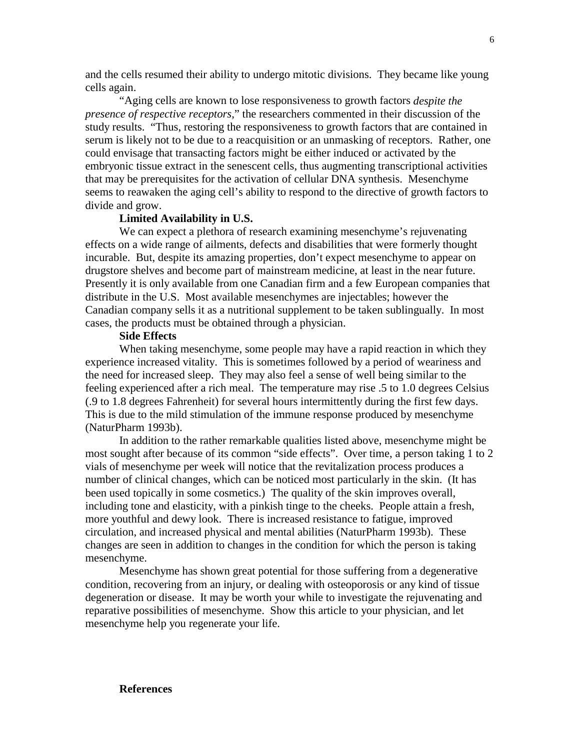and the cells resumed their ability to undergo mitotic divisions. They became like young cells again.

"Aging cells are known to lose responsiveness to growth factors *despite the presence of respective receptors*," the researchers commented in their discussion of the study results. "Thus, restoring the responsiveness to growth factors that are contained in serum is likely not to be due to a reacquisition or an unmasking of receptors. Rather, one could envisage that transacting factors might be either induced or activated by the embryonic tissue extract in the senescent cells, thus augmenting transcriptional activities that may be prerequisites for the activation of cellular DNA synthesis. Mesenchyme seems to reawaken the aging cell's ability to respond to the directive of growth factors to divide and grow.

## **Limited Availability in U.S.**

We can expect a plethora of research examining mesenchyme's rejuvenating effects on a wide range of ailments, defects and disabilities that were formerly thought incurable. But, despite its amazing properties, don't expect mesenchyme to appear on drugstore shelves and become part of mainstream medicine, at least in the near future. Presently it is only available from one Canadian firm and a few European companies that distribute in the U.S. Most available mesenchymes are injectables; however the Canadian company sells it as a nutritional supplement to be taken sublingually. In most cases, the products must be obtained through a physician.

#### **Side Effects**

When taking mesenchyme, some people may have a rapid reaction in which they experience increased vitality. This is sometimes followed by a period of weariness and the need for increased sleep. They may also feel a sense of well being similar to the feeling experienced after a rich meal. The temperature may rise .5 to 1.0 degrees Celsius (.9 to 1.8 degrees Fahrenheit) for several hours intermittently during the first few days. This is due to the mild stimulation of the immune response produced by mesenchyme (NaturPharm 1993b).

In addition to the rather remarkable qualities listed above, mesenchyme might be most sought after because of its common "side effects". Over time, a person taking 1 to 2 vials of mesenchyme per week will notice that the revitalization process produces a number of clinical changes, which can be noticed most particularly in the skin. (It has been used topically in some cosmetics.) The quality of the skin improves overall, including tone and elasticity, with a pinkish tinge to the cheeks. People attain a fresh, more youthful and dewy look. There is increased resistance to fatigue, improved circulation, and increased physical and mental abilities (NaturPharm 1993b). These changes are seen in addition to changes in the condition for which the person is taking mesenchyme.

Mesenchyme has shown great potential for those suffering from a degenerative condition, recovering from an injury, or dealing with osteoporosis or any kind of tissue degeneration or disease. It may be worth your while to investigate the rejuvenating and reparative possibilities of mesenchyme. Show this article to your physician, and let mesenchyme help you regenerate your life.

#### **References**